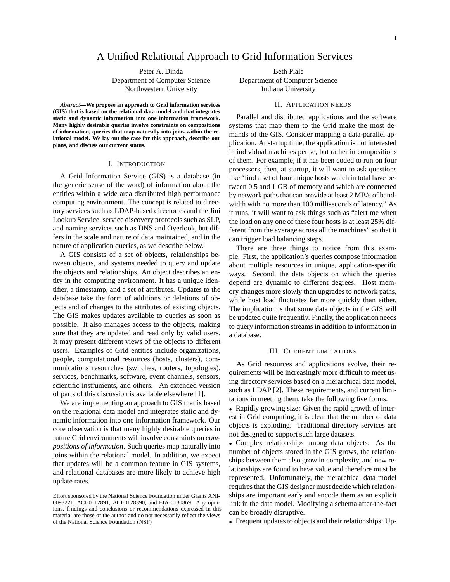# A Unified Relational Approach to Grid Information Services

Peter A. Dinda Beth Plale Department of Computer Science Department of Computer Science Northwestern University **Indiana University** 

*Abstract***—We propose an approach to Grid information services (GIS) that is based on the relational data model and that integrates static and dynamic information into one information framework. Many highly desirable queries involve constraints on compositions of information, queries that map naturally into joins within the relational model. We lay out the case for this approach, describe our plans, and discuss our current status.**

#### I. INTRODUCTION

A Grid Information Service (GIS) is a database (in the generic sense of the word) of information about the entities within a wide area distributed high performance computing environment. The concept is related to directory services such as LDAP-based directories and the Jini Lookup Service, service discovery protocols such as SLP, and naming services such as DNS and Overlook, but differs in the scale and nature of data maintained, and in the nature of application queries, as we describe below.

A GIS consists of a set of objects, relationships between objects, and systems needed to query and update the objects and relationships. An object describes an entity in the computing environment. It has a unique identifier, a timestamp, and a set of attributes. Updates to the database take the form of additions or deletions of objects and of changes to the attributes of existing objects. The GIS makes updates available to queries as soon as possible. It also manages access to the objects, making sure that they are updated and read only by valid users. It may present different views of the objects to different users. Examples of Grid entities include organizations, people, computational resources (hosts, clusters), communications resourches (switches, routers, topologies), services, benchmarks, software, event channels, sensors, scientific instruments, and others. An extended version of parts of this discussion is available elsewhere [1].

We are implementing an approach to GIS that is based on the relational data model and integrates static and dynamic information into one information framework. Our core observation is that many highly desirable queries in future Grid environments will involve constraints on *compositions of information*. Such queries map naturally into joins within the relational model. In addition, we expect that updates will be a common feature in GIS systems, and relational databases are more likely to achieve high update rates.

### II. APPLICATION NEEDS

Parallel and distributed applications and the software systems that map them to the Grid make the most demands of the GIS. Consider mapping a data-parallel application. At startup time, the application is not interested in individual machines per se, but rather in compositions of them. For example, if it has been coded to run on four processors, then, at startup, it will want to ask questions like "find a set of four unique hosts which in total have between 0.5 and 1 GB of memory and which are connected by network paths that can provide at least 2 MB/s of bandwidth with no more than 100 milliseconds of latency." As it runs, it will want to ask things such as "alert me when the load on any one of these four hosts is at least 25% different from the average across all the machines" so that it can trigger load balancing steps.

There are three things to notice from this example. First, the application's queries compose information about multiple resources in unique, application-specific ways. Second, the data objects on which the queries depend are dynamic to different degrees. Host memory changes more slowly than upgrades to network paths, while host load fluctuates far more quickly than either. The implication is that some data objects in the GIS will be updated quite frequently. Finally, the application needs to query information streams in addition to information in a database.

### III. CURRENT LIMITATIONS

As Grid resources and applications evolve, their requirements will be increasingly more difficult to meet using directory services based on a hierarchical data model, such as LDAP [2]. These requirements, and current limitations in meeting them, take the following five forms.

• Rapidly growing size: Given the rapid growth of interest in Grid computing, it is clear that the number of data objects is exploding. Traditional directory services are not designed to support such large datasets.

• Complex relationships among data objects: As the number of objects stored in the GIS grows, the relationships between them also grow in complexity, and new relationships are found to have value and therefore must be represented. Unfortunately, the hierarchical data model requires that the GIS designer must decide which relationships are important early and encode them as an explicit link in the data model. Modifying a schema after-the-fact can be broadly disruptive.

• Frequent updates to objects and their relationships: Up-

Effort sponsored by the National Science Foundation under Grants ANI-0093221, ACI-0112891, ACI-0128390, and EIA-0130869. Any opinions, findings and conclusions or recommendations expressed in this material are those of the author and do not necessarily reflect the views of the National Science Foundation (NSF)